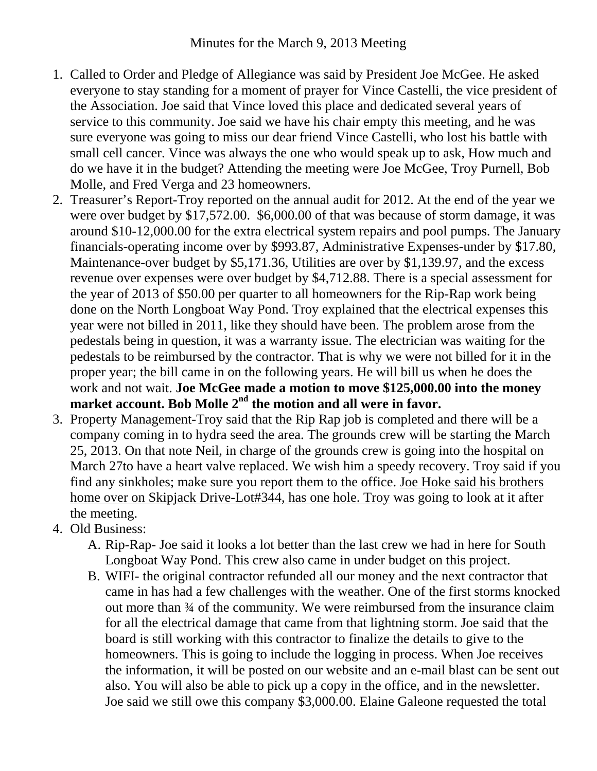- 1. Called to Order and Pledge of Allegiance was said by President Joe McGee. He asked everyone to stay standing for a moment of prayer for Vince Castelli, the vice president of the Association. Joe said that Vince loved this place and dedicated several years of service to this community. Joe said we have his chair empty this meeting, and he was sure everyone was going to miss our dear friend Vince Castelli, who lost his battle with small cell cancer. Vince was always the one who would speak up to ask, How much and do we have it in the budget? Attending the meeting were Joe McGee, Troy Purnell, Bob Molle, and Fred Verga and 23 homeowners.
- 2. Treasurer's Report-Troy reported on the annual audit for 2012. At the end of the year we were over budget by \$17,572.00. \$6,000.00 of that was because of storm damage, it was around \$10-12,000.00 for the extra electrical system repairs and pool pumps. The January financials-operating income over by \$993.87, Administrative Expenses-under by \$17.80, Maintenance-over budget by \$5,171.36, Utilities are over by \$1,139.97, and the excess revenue over expenses were over budget by \$4,712.88. There is a special assessment for the year of 2013 of \$50.00 per quarter to all homeowners for the Rip-Rap work being done on the North Longboat Way Pond. Troy explained that the electrical expenses this year were not billed in 2011, like they should have been. The problem arose from the pedestals being in question, it was a warranty issue. The electrician was waiting for the pedestals to be reimbursed by the contractor. That is why we were not billed for it in the proper year; the bill came in on the following years. He will bill us when he does the work and not wait. **Joe McGee made a motion to move \$125,000.00 into the money market account. Bob Molle 2nd the motion and all were in favor.**
- 3. Property Management-Troy said that the Rip Rap job is completed and there will be a company coming in to hydra seed the area. The grounds crew will be starting the March 25, 2013. On that note Neil, in charge of the grounds crew is going into the hospital on March 27to have a heart valve replaced. We wish him a speedy recovery. Troy said if you find any sinkholes; make sure you report them to the office. Joe Hoke said his brothers home over on Skipjack Drive-Lot#344, has one hole. Troy was going to look at it after the meeting.
- 4. Old Business:
	- A. Rip-Rap- Joe said it looks a lot better than the last crew we had in here for South Longboat Way Pond. This crew also came in under budget on this project.
	- B. WIFI- the original contractor refunded all our money and the next contractor that came in has had a few challenges with the weather. One of the first storms knocked out more than ¾ of the community. We were reimbursed from the insurance claim for all the electrical damage that came from that lightning storm. Joe said that the board is still working with this contractor to finalize the details to give to the homeowners. This is going to include the logging in process. When Joe receives the information, it will be posted on our website and an e-mail blast can be sent out also. You will also be able to pick up a copy in the office, and in the newsletter. Joe said we still owe this company \$3,000.00. Elaine Galeone requested the total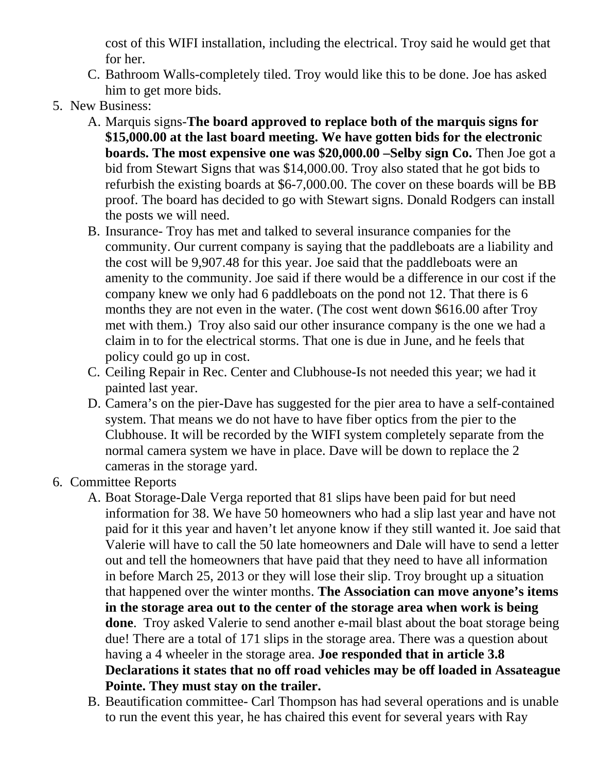cost of this WIFI installation, including the electrical. Troy said he would get that for her.

- C. Bathroom Walls-completely tiled. Troy would like this to be done. Joe has asked him to get more bids.
- 5. New Business:
	- A. Marquis signs-**The board approved to replace both of the marquis signs for \$15,000.00 at the last board meeting. We have gotten bids for the electronic boards. The most expensive one was \$20,000.00 –Selby sign Co.** Then Joe got a bid from Stewart Signs that was \$14,000.00. Troy also stated that he got bids to refurbish the existing boards at \$6-7,000.00. The cover on these boards will be BB proof. The board has decided to go with Stewart signs. Donald Rodgers can install the posts we will need.
	- B. Insurance- Troy has met and talked to several insurance companies for the community. Our current company is saying that the paddleboats are a liability and the cost will be 9,907.48 for this year. Joe said that the paddleboats were an amenity to the community. Joe said if there would be a difference in our cost if the company knew we only had 6 paddleboats on the pond not 12. That there is 6 months they are not even in the water. (The cost went down \$616.00 after Troy met with them.) Troy also said our other insurance company is the one we had a claim in to for the electrical storms. That one is due in June, and he feels that policy could go up in cost.
	- C. Ceiling Repair in Rec. Center and Clubhouse-Is not needed this year; we had it painted last year.
	- D. Camera's on the pier-Dave has suggested for the pier area to have a self-contained system. That means we do not have to have fiber optics from the pier to the Clubhouse. It will be recorded by the WIFI system completely separate from the normal camera system we have in place. Dave will be down to replace the 2 cameras in the storage yard.
- 6. Committee Reports
	- A. Boat Storage-Dale Verga reported that 81 slips have been paid for but need information for 38. We have 50 homeowners who had a slip last year and have not paid for it this year and haven't let anyone know if they still wanted it. Joe said that Valerie will have to call the 50 late homeowners and Dale will have to send a letter out and tell the homeowners that have paid that they need to have all information in before March 25, 2013 or they will lose their slip. Troy brought up a situation that happened over the winter months. **The Association can move anyone's items in the storage area out to the center of the storage area when work is being done**. Troy asked Valerie to send another e-mail blast about the boat storage being due! There are a total of 171 slips in the storage area. There was a question about having a 4 wheeler in the storage area. **Joe responded that in article 3.8 Declarations it states that no off road vehicles may be off loaded in Assateague Pointe. They must stay on the trailer.**
	- B. Beautification committee- Carl Thompson has had several operations and is unable to run the event this year, he has chaired this event for several years with Ray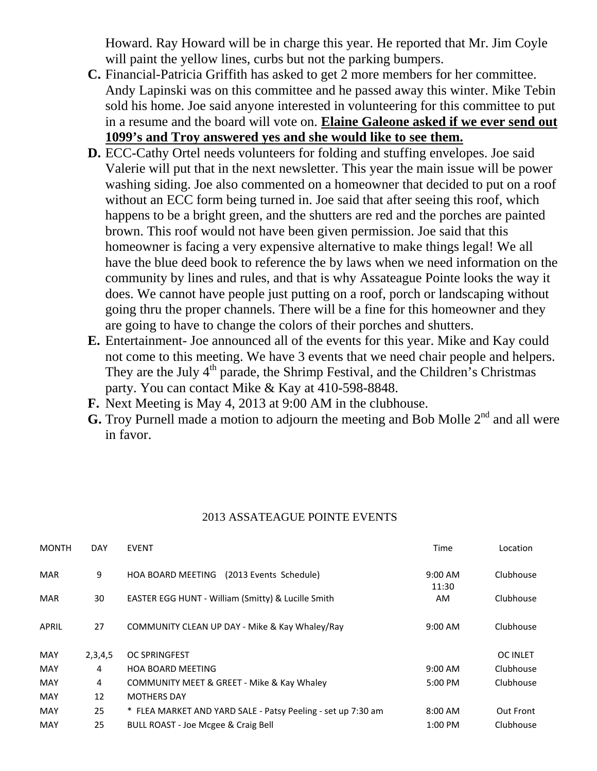Howard. Ray Howard will be in charge this year. He reported that Mr. Jim Coyle will paint the yellow lines, curbs but not the parking bumpers.

- **C.** Financial-Patricia Griffith has asked to get 2 more members for her committee. Andy Lapinski was on this committee and he passed away this winter. Mike Tebin sold his home. Joe said anyone interested in volunteering for this committee to put in a resume and the board will vote on. **Elaine Galeone asked if we ever send out 1099's and Troy answered yes and she would like to see them.**
- **D.** ECC-Cathy Ortel needs volunteers for folding and stuffing envelopes. Joe said Valerie will put that in the next newsletter. This year the main issue will be power washing siding. Joe also commented on a homeowner that decided to put on a roof without an ECC form being turned in. Joe said that after seeing this roof, which happens to be a bright green, and the shutters are red and the porches are painted brown. This roof would not have been given permission. Joe said that this homeowner is facing a very expensive alternative to make things legal! We all have the blue deed book to reference the by laws when we need information on the community by lines and rules, and that is why Assateague Pointe looks the way it does. We cannot have people just putting on a roof, porch or landscaping without going thru the proper channels. There will be a fine for this homeowner and they are going to have to change the colors of their porches and shutters.
- **E.** Entertainment- Joe announced all of the events for this year. Mike and Kay could not come to this meeting. We have 3 events that we need chair people and helpers. They are the July  $4<sup>th</sup>$  parade, the Shrimp Festival, and the Children's Christmas party. You can contact Mike & Kay at 410-598-8848.
- **F.** Next Meeting is May 4, 2013 at 9:00 AM in the clubhouse.
- **G.** Troy Purnell made a motion to adjourn the meeting and Bob Molle 2<sup>nd</sup> and all were in favor.

## 2013 ASSATEAGUE POINTE EVENTS

| <b>MONTH</b> | <b>DAY</b> | <b>EVENT</b>                                                 | Time               | Location        |
|--------------|------------|--------------------------------------------------------------|--------------------|-----------------|
| <b>MAR</b>   | 9          | <b>HOA BOARD MEETING</b><br>(2013 Events Schedule)           | $9:00$ AM<br>11:30 | Clubhouse       |
| <b>MAR</b>   | 30         | EASTER EGG HUNT - William (Smitty) & Lucille Smith           | AM.                | Clubhouse       |
| APRIL        | 27         | COMMUNITY CLEAN UP DAY - Mike & Kay Whaley/Ray               | 9:00 AM            | Clubhouse       |
| <b>MAY</b>   | 2,3,4,5    | <b>OC SPRINGFEST</b>                                         |                    | <b>OC INLET</b> |
| <b>MAY</b>   | 4          | <b>HOA BOARD MEETING</b>                                     | 9:00 AM            | Clubhouse       |
| <b>MAY</b>   | 4          | COMMUNITY MEET & GREET - Mike & Kay Whaley                   | 5:00 PM            | Clubhouse       |
| <b>MAY</b>   | 12         | <b>MOTHERS DAY</b>                                           |                    |                 |
| MAY          | 25         | * FLEA MARKET AND YARD SALE - Patsy Peeling - set up 7:30 am | 8:00 AM            | Out Front       |
| <b>MAY</b>   | 25         | <b>BULL ROAST - Joe Mcgee &amp; Craig Bell</b>               | $1:00$ PM          | Clubhouse       |
|              |            |                                                              |                    |                 |